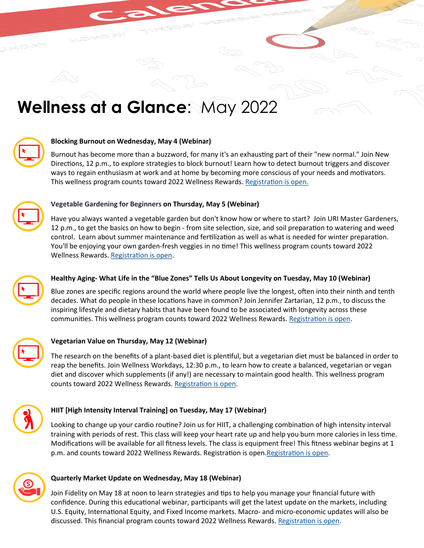# **Wellness at a Glance**: May 2022



## **Blocking Burnout on Wednesday, May 4 (Webinar)**

Burnout has become more than a buzzword, for many it's an exhausting part of their "new normal." Join New Directions, 12 p.m., to explore strategies to block burnout! Learn how to detect burnout triggers and discover ways to regain enthusiasm at work and at home by becoming more conscious of your needs and motivators. This wellness program counts toward 2022 Wellness Rewards. [Registration is open.](https://www.brown.edu/about/administration/human-resources/benefits/worklifewellness/wellness/onsite-programs)



## **Vegetable Gardening for Beginners on Thursday, May 5 (Webinar)**

Have you always wanted a vegetable garden but don't know how or where to start? Join URI Master Gardeners, 12 p.m., to get the basics on how to begin - from site selection, size, and soil preparation to watering and weed control. Learn about summer maintenance and fertilization as well as what is needed for winter preparation. You'll be enjoying your own garden-fresh veggies in no time! This wellness program counts toward 2022 Wellness Rewards. [Registration is open.](https://www.brown.edu/about/administration/human-resources/benefits/worklifewellness/wellness/onsite-programs)



## **Healthy Aging- What Life in the "Blue Zones" Tells Us About Longevity on Tuesday, May 10 (Webinar)**

Blue zones are specific regions around the world where people live the longest, often into their ninth and tenth decades. What do people in these locations have in common? Join Jennifer Zartarian, 12 p.m., to discuss the inspiring lifestyle and dietary habits that have been found to be associated with longevity across these communities. This wellness program counts toward 2022 Wellness Rewards. [Registration is open.](https://www.brown.edu/about/administration/human-resources/benefits/worklifewellness/wellness/onsite-programs)



#### **Vegetarian Value on Thursday, May 12 (Webinar)**

The research on the benefits of a plant-based diet is plentiful, but a vegetarian diet must be balanced in order to reap the benefits. Join Wellness Workdays, 12:30 p.m., to learn how to create a balanced, vegetarian or vegan diet and discover which supplements (if any!) are necessary to maintain good health. This wellness program counts toward 2022 Wellness Rewards. [Registration is open.](https://www.brown.edu/about/administration/human-resources/benefits/worklifewellness/wellness/onsite-programs) 



## **HIIT [High Intensity Interval Training] on Tuesday, May 17 (Webinar)**

Looking to change up your cardio routine? Join us for HIIT, a challenging combination of high intensity interval training with periods of rest. This class will keep your heart rate up and help you burn more calories in less time. Modifications will be available for all fitness levels. The class is equipment free! This fitness webinar begins at 1 p.m. and counts toward 2022 Wellness Rewards. Registration is open. Registration is open.



## **Quarterly Market Update on Wednesday, May 18 (Webinar)**

Join Fidelity on May 18 at noon to learn strategies and tips to help you manage your financial future with confidence. During this educational webinar, participants will get the latest update on the markets, including U.S. Equity, International Equity, and Fixed Income markets. Macro- and micro-economic updates will also be discussed. This financial program counts toward 2022 Wellness Rewards. [Registration is open.](https://www.brown.edu/about/administration/human-resources/benefits/worklifewellness/wellness/onsite-programs)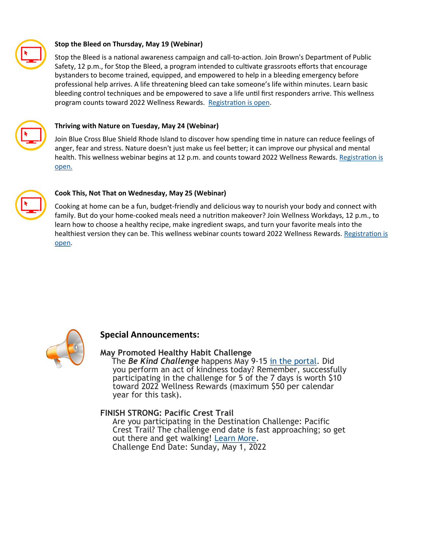

## **Stop the Bleed on Thursday, May 19 (Webinar)**

Stop the Bleed is a national awareness campaign and call-to-action. Join Brown's Department of Public Safety, 12 p.m., for Stop the Bleed, a program intended to cultivate grassroots efforts that encourage bystanders to become trained, equipped, and empowered to help in a bleeding emergency before professional help arrives. A life threatening bleed can take someone's life within minutes. Learn basic bleeding control techniques and be empowered to save a life until first responders arrive. This wellness program counts toward 2022 Wellness Rewards. [Registration is open.](https://www.brown.edu/about/administration/human-resources/benefits/worklifewellness/wellness/onsite-programs)



## **Thriving with Nature on Tuesday, May 24 (Webinar)**

Join Blue Cross Blue Shield Rhode Island to discover how spending time in nature can reduce feelings of anger, fear and stress. Nature doesn't just make us feel better; it can improve our physical and mental health. This wellness webinar begins at 12 p.m. and counts toward 2022 Wellness Rewards. [Registration is](https://www.brown.edu/about/administration/human-resources/benefits/worklifewellness/wellness/onsite-programs)  [open.](https://www.brown.edu/about/administration/human-resources/benefits/worklifewellness/wellness/onsite-programs)



### **Cook This, Not That on Wednesday, May 25 (Webinar)**

Cooking at home can be a fun, budget-friendly and delicious way to nourish your body and connect with family. But do your home-cooked meals need a nutrition makeover? Join Wellness Workdays, 12 p.m., to learn how to choose a healthy recipe, make ingredient swaps, and turn your favorite meals into the healthiest version they can be. This wellness webinar counts toward 2022 Wellness Rewards. [Registration is](https://www.brown.edu/about/administration/human-resources/benefits/worklifewellness/wellness/onsite-programs)  [open.](https://www.brown.edu/about/administration/human-resources/benefits/worklifewellness/wellness/onsite-programs) 



## **Special Announcements:**

## **May Promoted Healthy Habit Challenge**

The *Be Kind Challenge* happens May 9-15 in [the portal.](https://www.brown.edu/about/administration/human-resources/benefits/worklifewellness/wellness/wellness-portal) Did you perform an act of kindness today? Remember, successfully participating in the challenge for 5 of the 7 days is worth \$10 toward 2022 Wellness Rewards (maximum \$50 per calendar year for this task).

## **FINISH STRONG: Pacific Crest Trail**

Are you participating in the Destination Challenge: Pacific Crest Trail? The challenge end date is fast approaching; so get out there and get walking! [Learn More.](https://www.brown.edu/about/administration/human-resources/worklife-brown/wellness/walk-health) Challenge End Date: Sunday, May 1, 2022